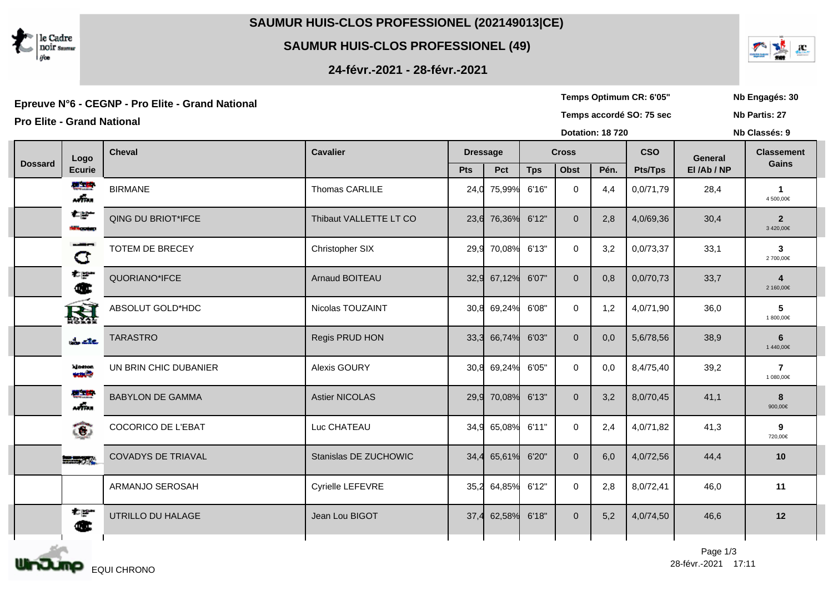

**SAUMUR HUIS-CLOS PROFESSIONEL (49)**

**24-févr.-2021 - 28-févr.-2021**

Epreuve N°6 - CEGNP - Pro Elite - Grand National **New Strand Server Constructed Southern CR** (Server Constructed Southern CR: 6'05" Nb Engagés: 30<br>Temps accordé SO: 75 sec Nb Partis: 27

| <b>Pro Elite - Grand National</b> |                            |                           |                        |                 |             |              |                |                        | Temps accordé SO: 75 sec | Nb Partis: 27 |                             |
|-----------------------------------|----------------------------|---------------------------|------------------------|-----------------|-------------|--------------|----------------|------------------------|--------------------------|---------------|-----------------------------|
|                                   |                            |                           |                        |                 |             |              |                | <b>Dotation: 18720</b> |                          | Nb Classés: 9 |                             |
| <b>Dossard</b>                    | Logo                       | <b>Cheval</b>             | <b>Cavalier</b>        | <b>Dressage</b> |             | <b>Cross</b> |                |                        | <b>CSO</b>               | General       | <b>Classement</b><br>Gains  |
|                                   | <b>Ecurie</b>              |                           |                        | Pts             | Pct         | <b>Tps</b>   | <b>Obst</b>    | Pén.                   | <b>Pts/Tps</b>           | El/Ab/NP      |                             |
|                                   | ■■<br>$m\bar{m}$           | <b>BIRMANE</b>            | Thomas CARLILE         | 24,0            | 75,99%      | 6'16"        | $\mathbf 0$    | 4,4                    | 0,0/71,79                | 28,4          | $\mathbf 1$<br>4 500,00€    |
|                                   | 右部<br><b>Miller Street</b> | QING DU BRIOT*IFCE        | Thibaut VALLETTE LT CO |                 | 23,6 76,36% | 6'12"        | $\overline{0}$ | 2,8                    | 4,0/69,36                | 30,4          | $\overline{2}$<br>3420,00€  |
|                                   | --<br>a                    | TOTEM DE BRECEY           | Christopher SIX        | 29,9            | 70,08%      | 6'13"        | $\mathbf{0}$   | 3,2                    | 0,0/73,37                | 33,1          | $\mathbf{3}$<br>2 700,00€   |
|                                   | 책하<br>Œ                    | QUORIANO*IFCE             | Arnaud BOITEAU         |                 | 32,9 67,12% | 6'07"        | $\overline{0}$ | 0,8                    | 0,0/70,73                | 33,7          | 2 160,00€                   |
|                                   | 圏                          | ABSOLUT GOLD*HDC          | Nicolas TOUZAINT       |                 | 30,8 69,24% | 6'08"        | $\overline{0}$ | 1,2                    | 4,0/71,90                | 36,0          | 5<br>1 800,00€              |
|                                   | $\frac{1}{2}$ and          | <b>TARASTRO</b>           | Regis PRUD HON         | 33,3            | 66,74%      | 6'03"        | $\overline{0}$ | 0,0                    | 5,6/78,56                | 38,9          | 6<br>1440,00€               |
|                                   | kineton.<br><b>August</b>  | UN BRIN CHIC DUBANIER     | Alexis GOURY           | 30,8            | 69,24%      | 6'05"        | $\mathbf{0}$   | 0,0                    | 8,4/75,40                | 39,2          | $\overline{7}$<br>1 080,00€ |
|                                   | 연파<br>m                    | <b>BABYLON DE GAMMA</b>   | <b>Astier NICOLAS</b>  | 29,9            | 70,08%      | 6'13"        | $\overline{0}$ | 3,2                    | 8,0/70,45                | 41,1          | 8<br>900,00€                |
|                                   | ෬                          | <b>COCORICO DE L'EBAT</b> | Luc CHATEAU            | 34,9            | 65,08%      | 6'11"        | $\mathbf{0}$   | 2,4                    | 4,0/71,82                | 41,3          | 9<br>720,00€                |
|                                   | 三つる                        | <b>COVADYS DE TRIAVAL</b> | Stanislas DE ZUCHOWIC  | 34,4            | 65,61%      | 6'20"        | $\overline{0}$ | 6,0                    | 4,0/72,56                | 44,4          | 10                          |
|                                   |                            | ARMANJO SEROSAH           | Cyrielle LEFEVRE       | 35,2            | 64,85%      | 6'12"        | $\mathbf{0}$   | 2,8                    | 8,0/72,41                | 46,0          | 11                          |
|                                   | 右翼<br>Œ                    | UTRILLO DU HALAGE         | Jean Lou BIGOT         | 37,4            | 62,58%      | 6'18"        | $\overline{0}$ | 5,2                    | 4,0/74,50                | 46,6          | 12                          |
|                                   |                            |                           |                        |                 |             |              |                |                        |                          |               |                             |





**Nb Partis: 27**

**Temps Optimum CR: 6'05"**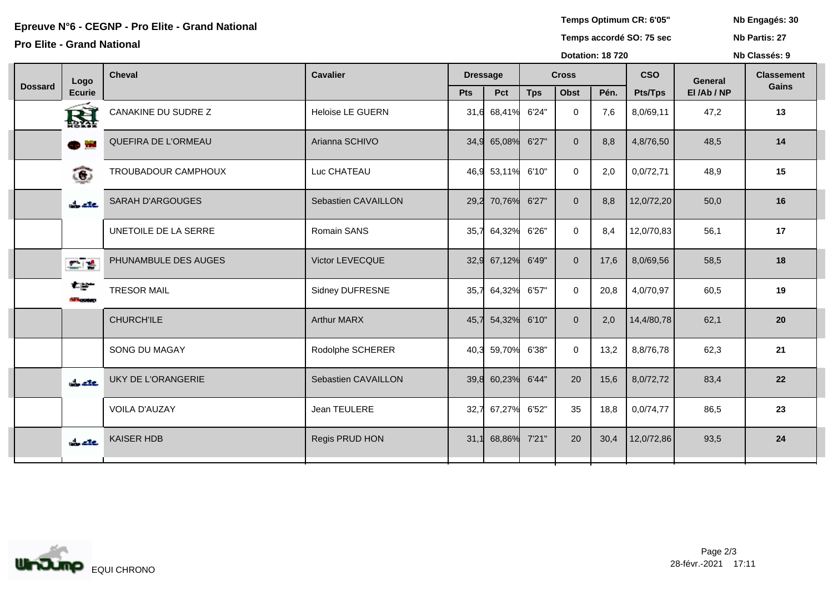Epreuve N°6 - CEGNP - Pro Elite - Grand National **Access 20**<br>
Epreuve N°6 - CEGNP - Pro Elite - Grand National **National Server Access 20**<br>
Temps accordé SO: 75 sec Nb Partis: 27

## **Pro Elite - Grand National**

**Temps Optimum CR: 6'05"**

**Nb Classés: 9** 

**Nb Partis: 27**

|                |                                       |                           |                         |                 |                   | <b>Dotation: 18720</b> |                |      |                | Nb Classés: 9  |                   |  |
|----------------|---------------------------------------|---------------------------|-------------------------|-----------------|-------------------|------------------------|----------------|------|----------------|----------------|-------------------|--|
|                | Logo                                  | <b>Cheval</b>             | <b>Cavalier</b>         | <b>Dressage</b> |                   | <b>Cross</b>           |                |      | <b>CSO</b>     | <b>General</b> | <b>Classement</b> |  |
| <b>Dossard</b> | <b>Ecurie</b>                         |                           |                         | Pts             | Pct               | <b>Tps</b>             | <b>Obst</b>    | Pén. | <b>Pts/Tps</b> | El/Ab/NP       | Gains             |  |
|                | 圏                                     | CANAKINE DU SUDRE Z       | <b>Heloise LE GUERN</b> | 31,6            | 68,41%            | 6'24"                  | $\mathbf 0$    | 7,6  | 8,0/69,11      | 47,2           | 13                |  |
|                | $\bullet$ in                          | QUEFIRA DE L'ORMEAU       | Arianna SCHIVO          | 34,9            | 65,08%            | 6'27"                  | $\Omega$       | 8,8  | 4,8/76,50      | 48,5           | 14                |  |
|                | ක                                     | TROUBADOUR CAMPHOUX       | Luc CHATEAU             |                 | 46,9 53,11% 6'10" |                        | $\mathbf 0$    | 2,0  | 0,0/72,71      | 48,9           | 15                |  |
|                | the exer                              | <b>SARAH D'ARGOUGES</b>   | Sebastien CAVAILLON     | 29,2            | 70,76%            | 6'27"                  | $\overline{0}$ | 8,8  | 12,0/72,20     | 50,0           | 16                |  |
|                |                                       | UNETOILE DE LA SERRE      | Romain SANS             | 35,7            | 64,32%            | 6'26"                  | $\Omega$       | 8,4  | 12,0/70,83     | 56,1           | 17                |  |
|                | 机槽                                    | PHUNAMBULE DES AUGES      | Victor LEVECQUE         | 32,9            | 67,12%            | 6'49"                  | $\overline{0}$ | 17,6 | 8,0/69,56      | 58,5           | 18                |  |
|                | ≠⊯∸<br><b><i><u>Introduce</u></i></b> | <b>TRESOR MAIL</b>        | Sidney DUFRESNE         | 35,7            | 64,32%            | 6'57"                  | $\mathbf{0}$   | 20,8 | 4,0/70,97      | 60,5           | 19                |  |
|                |                                       | <b>CHURCH'ILE</b>         | <b>Arthur MARX</b>      | 45,7            | 54,32%            | 6'10"                  | $\Omega$       | 2,0  | 14,4/80,78     | 62,1           | 20                |  |
|                |                                       | SONG DU MAGAY             | Rodolphe SCHERER        | 40,3            | 59,70%            | 6'38"                  | $\mathbf 0$    | 13,2 | 8,8/76,78      | 62,3           | 21                |  |
|                | $\frac{1}{2}$ are                     | <b>UKY DE L'ORANGERIE</b> | Sebastien CAVAILLON     | 39,8            | 60,23%            | 6'44"                  | 20             | 15,6 | 8,0/72,72      | 83,4           | 22                |  |
|                |                                       | <b>VOILA D'AUZAY</b>      | Jean TEULERE            | 32,7            | 67,27%            | 6'52"                  | 35             | 18,8 | 0,0/74,77      | 86,5           | 23                |  |
|                | $\frac{1}{2}$ are                     | KAISER HDB                | Regis PRUD HON          | 31,1            | 68,86% 7'21"      |                        | 20             | 30,4 | 12,0/72,86     | 93,5           | 24                |  |
|                |                                       |                           |                         |                 |                   |                        |                |      |                |                |                   |  |